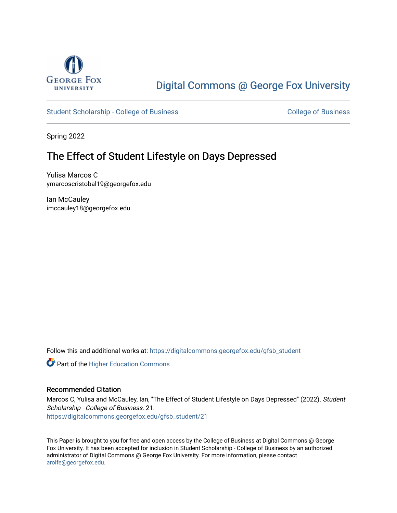

# [Digital Commons @ George Fox University](https://digitalcommons.georgefox.edu/)

[Student Scholarship - College of Business](https://digitalcommons.georgefox.edu/gfsb_student) [College of Business](https://digitalcommons.georgefox.edu/business) College of Business

Spring 2022

## The Effect of Student Lifestyle on Days Depressed

Yulisa Marcos C ymarcoscristobal19@georgefox.edu

Ian McCauley imccauley18@georgefox.edu

Follow this and additional works at: [https://digitalcommons.georgefox.edu/gfsb\\_student](https://digitalcommons.georgefox.edu/gfsb_student?utm_source=digitalcommons.georgefox.edu%2Fgfsb_student%2F21&utm_medium=PDF&utm_campaign=PDFCoverPages) 

**Part of the Higher Education Commons** 

#### Recommended Citation

Marcos C, Yulisa and McCauley, Ian, "The Effect of Student Lifestyle on Days Depressed" (2022). Student Scholarship - College of Business. 21. [https://digitalcommons.georgefox.edu/gfsb\\_student/21](https://digitalcommons.georgefox.edu/gfsb_student/21?utm_source=digitalcommons.georgefox.edu%2Fgfsb_student%2F21&utm_medium=PDF&utm_campaign=PDFCoverPages) 

This Paper is brought to you for free and open access by the College of Business at Digital Commons @ George Fox University. It has been accepted for inclusion in Student Scholarship - College of Business by an authorized administrator of Digital Commons @ George Fox University. For more information, please contact [arolfe@georgefox.edu.](mailto:arolfe@georgefox.edu)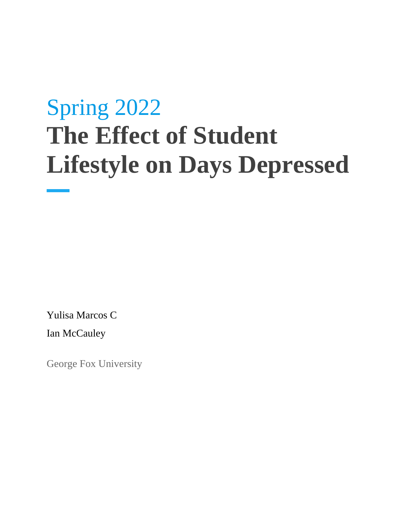# Spring 2022 **The Effect of Student Lifestyle on Days Depressed**

Yulisa Marcos C

Ian McCauley

George Fox University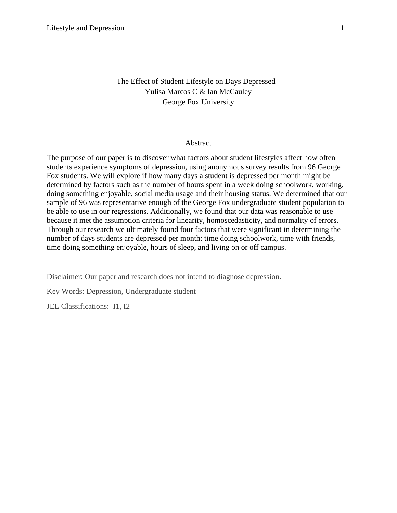## The Effect of Student Lifestyle on Days Depressed Yulisa Marcos C & Ian McCauley George Fox University

#### Abstract

The purpose of our paper is to discover what factors about student lifestyles affect how often students experience symptoms of depression, using anonymous survey results from 96 George Fox students. We will explore if how many days a student is depressed per month might be determined by factors such as the number of hours spent in a week doing schoolwork, working, doing something enjoyable, social media usage and their housing status. We determined that our sample of 96 was representative enough of the George Fox undergraduate student population to be able to use in our regressions. Additionally, we found that our data was reasonable to use because it met the assumption criteria for linearity, homoscedasticity, and normality of errors. Through our research we ultimately found four factors that were significant in determining the number of days students are depressed per month: time doing schoolwork, time with friends, time doing something enjoyable, hours of sleep, and living on or off campus.

Disclaimer: Our paper and research does not intend to diagnose depression.

Key Words: Depression, Undergraduate student

JEL Classifications: I1, I2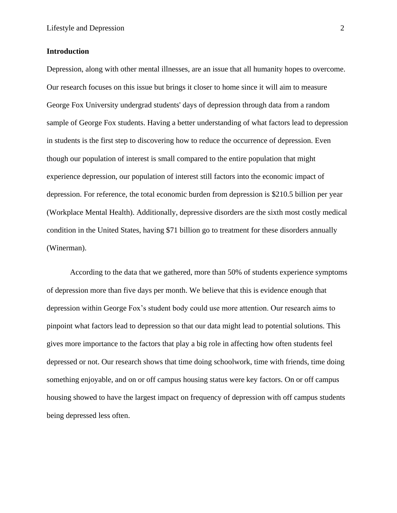#### **Introduction**

Depression, along with other mental illnesses, are an issue that all humanity hopes to overcome. Our research focuses on this issue but brings it closer to home since it will aim to measure George Fox University undergrad students' days of depression through data from a random sample of George Fox students. Having a better understanding of what factors lead to depression in students is the first step to discovering how to reduce the occurrence of depression. Even though our population of interest is small compared to the entire population that might experience depression, our population of interest still factors into the economic impact of depression. For reference, the total economic burden from depression is \$210.5 billion per year (Workplace Mental Health). Additionally, depressive disorders are the sixth most costly medical condition in the United States, having \$71 billion go to treatment for these disorders annually (Winerman).

According to the data that we gathered, more than 50% of students experience symptoms of depression more than five days per month. We believe that this is evidence enough that depression within George Fox's student body could use more attention. Our research aims to pinpoint what factors lead to depression so that our data might lead to potential solutions. This gives more importance to the factors that play a big role in affecting how often students feel depressed or not. Our research shows that time doing schoolwork, time with friends, time doing something enjoyable, and on or off campus housing status were key factors. On or off campus housing showed to have the largest impact on frequency of depression with off campus students being depressed less often.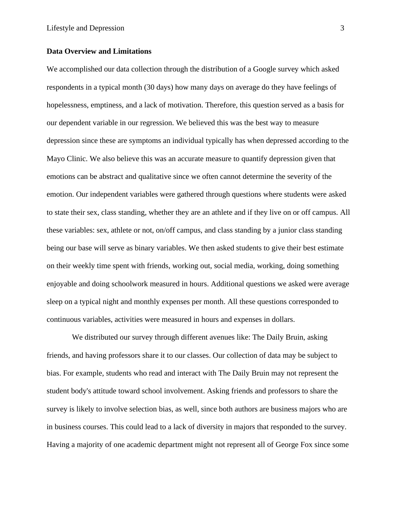#### **Data Overview and Limitations**

We accomplished our data collection through the distribution of a Google survey which asked respondents in a typical month (30 days) how many days on average do they have feelings of hopelessness, emptiness, and a lack of motivation. Therefore, this question served as a basis for our dependent variable in our regression. We believed this was the best way to measure depression since these are symptoms an individual typically has when depressed according to the Mayo Clinic. We also believe this was an accurate measure to quantify depression given that emotions can be abstract and qualitative since we often cannot determine the severity of the emotion. Our independent variables were gathered through questions where students were asked to state their sex, class standing, whether they are an athlete and if they live on or off campus. All these variables: sex, athlete or not, on/off campus, and class standing by a junior class standing being our base will serve as binary variables. We then asked students to give their best estimate on their weekly time spent with friends, working out, social media, working, doing something enjoyable and doing schoolwork measured in hours. Additional questions we asked were average sleep on a typical night and monthly expenses per month. All these questions corresponded to continuous variables, activities were measured in hours and expenses in dollars.

We distributed our survey through different avenues like: The Daily Bruin, asking friends, and having professors share it to our classes. Our collection of data may be subject to bias. For example, students who read and interact with The Daily Bruin may not represent the student body's attitude toward school involvement. Asking friends and professors to share the survey is likely to involve selection bias, as well, since both authors are business majors who are in business courses. This could lead to a lack of diversity in majors that responded to the survey. Having a majority of one academic department might not represent all of George Fox since some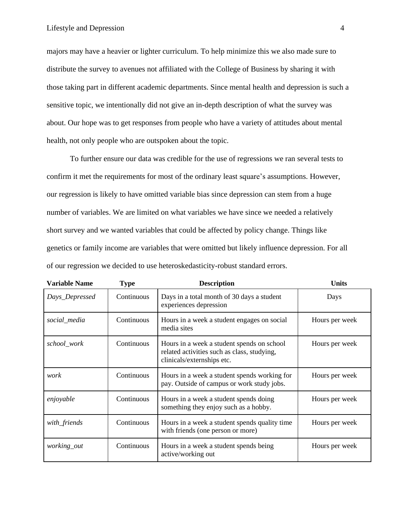majors may have a heavier or lighter curriculum. To help minimize this we also made sure to distribute the survey to avenues not affiliated with the College of Business by sharing it with those taking part in different academic departments. Since mental health and depression is such a sensitive topic, we intentionally did not give an in-depth description of what the survey was about. Our hope was to get responses from people who have a variety of attitudes about mental health, not only people who are outspoken about the topic.

To further ensure our data was credible for the use of regressions we ran several tests to confirm it met the requirements for most of the ordinary least square's assumptions. However, our regression is likely to have omitted variable bias since depression can stem from a huge number of variables. We are limited on what variables we have since we needed a relatively short survey and we wanted variables that could be affected by policy change. Things like genetics or family income are variables that were omitted but likely influence depression. For all of our regression we decided to use heteroskedasticity-robust standard errors.

| <b>Variable Name</b> | <b>Type</b> | <b>Description</b>                                                                                                      | <b>Units</b>   |
|----------------------|-------------|-------------------------------------------------------------------------------------------------------------------------|----------------|
| Days_Depressed       | Continuous  | Days in a total month of 30 days a student<br>experiences depression                                                    | Days           |
| social_media         | Continuous  | Hours in a week a student engages on social<br>media sites                                                              | Hours per week |
| school_work          | Continuous  | Hours in a week a student spends on school<br>related activities such as class, studying,<br>clinicals/externships etc. | Hours per week |
| work                 | Continuous  | Hours in a week a student spends working for<br>pay. Outside of campus or work study jobs.                              | Hours per week |
| enjoyable            | Continuous  | Hours in a week a student spends doing<br>something they enjoy such as a hobby.                                         | Hours per week |
| with_friends         | Continuous  | Hours in a week a student spends quality time<br>with friends (one person or more)                                      | Hours per week |
| working_out          | Continuous  | Hours in a week a student spends being<br>active/working out                                                            | Hours per week |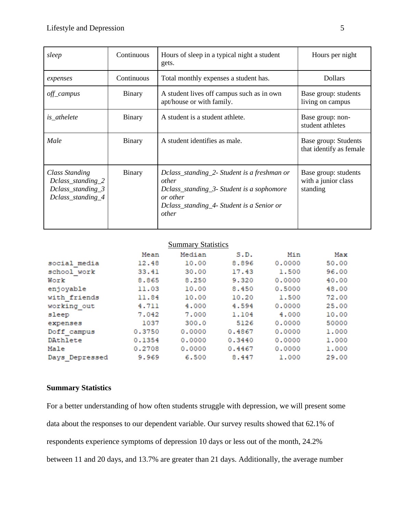| sleep                                                                            | Continuous    | Hours of sleep in a typical night a student<br>gets.                                                                                                                | Hours per night                                         |  |
|----------------------------------------------------------------------------------|---------------|---------------------------------------------------------------------------------------------------------------------------------------------------------------------|---------------------------------------------------------|--|
| expenses                                                                         | Continuous    | Total monthly expenses a student has.                                                                                                                               | <b>Dollars</b>                                          |  |
| off_campus                                                                       | Binary        | A student lives off campus such as in own<br>apt/house or with family.                                                                                              | Base group: students<br>living on campus                |  |
| is_athelete                                                                      | Binary        | A student is a student athlete.                                                                                                                                     | Base group: non-<br>student athletes                    |  |
| Male                                                                             | Binary        | A student identifies as male.                                                                                                                                       | Base group: Students<br>that identify as female         |  |
| Class Standing<br>Dclass_standing_2<br>$Dclass\_standing_3$<br>Dclass_standing_4 | <b>Binary</b> | Dclass_standing_2- Student is a freshman or<br>other<br>Dclass_standing_3- Student is a sophomore<br>or other<br>Dclass_standing_4- Student is a Senior or<br>other | Base group: students<br>with a junior class<br>standing |  |

## **Summary Statistics**

|                | Mean   | Median | S.D.   | Min    | Max   |
|----------------|--------|--------|--------|--------|-------|
| social media   | 12.48  | 10.00  | 8.896  | 0.0000 | 50.00 |
| school work    | 33.41  | 30.00  | 17.43  | 1,500  | 96.00 |
| Work           | 8.865  | 8.250  | 9.320  | 0.0000 | 40.00 |
| enjoyable      | 11.03  | 10.00  | 8.450  | 0.5000 | 48.00 |
| with friends   | 11.84  | 10.00  | 10.20  | 1.500  | 72.00 |
| working out    | 4.711  | 4,000  | 4.594  | 0.0000 | 25.00 |
| sleep          | 7.042  | 7.000  | 1.104  | 4,000  | 10.00 |
| expenses       | 1037   | 300.0  | 5126   | 0.0000 | 50000 |
| Doff campus    | 0.3750 | 0.0000 | 0.4867 | 0.0000 | 1.000 |
| DAthlete       | 0.1354 | 0.0000 | 0.3440 | 0.0000 | 1.000 |
| Male           | 0.2708 | 0.0000 | 0.4467 | 0.0000 | 1.000 |
| Days Depressed | 9.969  | 6.500  | 8.447  | 1,000  | 29.00 |

#### **Summary Statistics**

For a better understanding of how often students struggle with depression, we will present some data about the responses to our dependent variable. Our survey results showed that 62.1% of respondents experience symptoms of depression 10 days or less out of the month, 24.2% between 11 and 20 days, and 13.7% are greater than 21 days. Additionally, the average number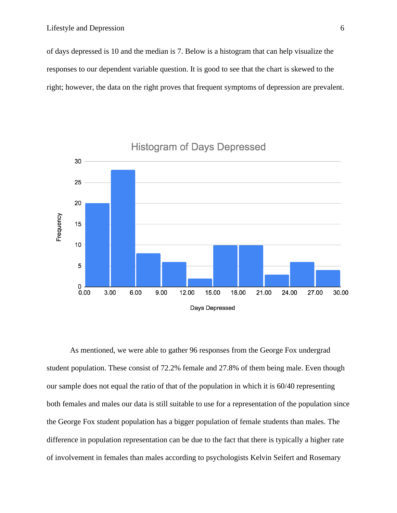of days depressed is 10 and the median is 7. Below is a histogram that can help visualize the responses to our dependent variable question. It is good to see that the chart is skewed to the right; however, the data on the right proves that frequent symptoms of depression are prevalent.



**Histogram of Days Depressed** 

As mentioned, we were able to gather 96 responses from the George Fox undergrad student population. These consist of 72.2% female and 27.8% of them being male. Even though our sample does not equal the ratio of that of the population in which it is 60/40 representing both females and males our data is still suitable to use for a representation of the population since the George Fox student population has a bigger population of female students than males. The difference in population representation can be due to the fact that there is typically a higher rate of involvement in females than males according to psychologists Kelvin Seifert and Rosemary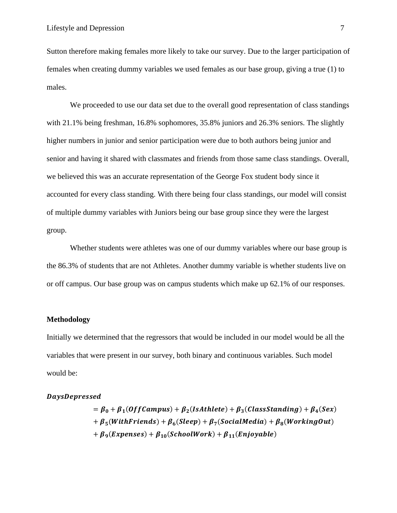Sutton therefore making females more likely to take our survey. Due to the larger participation of females when creating dummy variables we used females as our base group, giving a true (1) to males.

We proceeded to use our data set due to the overall good representation of class standings with 21.1% being freshman, 16.8% sophomores, 35.8% juniors and 26.3% seniors. The slightly higher numbers in junior and senior participation were due to both authors being junior and senior and having it shared with classmates and friends from those same class standings. Overall, we believed this was an accurate representation of the George Fox student body since it accounted for every class standing. With there being four class standings, our model will consist of multiple dummy variables with Juniors being our base group since they were the largest group.

Whether students were athletes was one of our dummy variables where our base group is the 86.3% of students that are not Athletes. Another dummy variable is whether students live on or off campus. Our base group was on campus students which make up 62.1% of our responses.

#### **Methodology**

Initially we determined that the regressors that would be included in our model would be all the variables that were present in our survey, both binary and continuous variables. Such model would be:

#### **DaysDepressed**

$$
= \beta_0 + \beta_1 (Off Campus) + \beta_2 (IsAthlete) + \beta_3 (Class Standing) + \beta_4 (Sex)
$$
  
+  $\beta_5 (With Friends) + \beta_6 (Sleep) + \beta_7 (SocialMedia) + \beta_8 (WorkingOut)$   
+  $\beta_9 (Express) + \beta_{10} (SchoolWork) + \beta_{11} (Enjoyable)$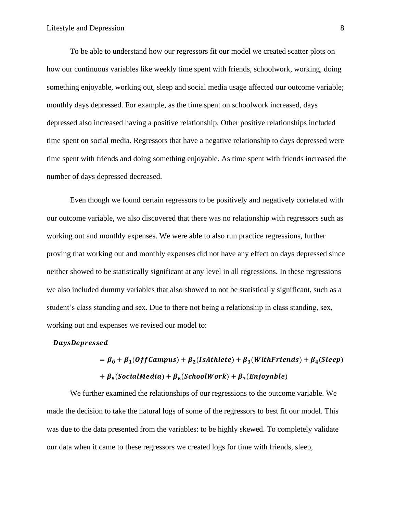To be able to understand how our regressors fit our model we created scatter plots on how our continuous variables like weekly time spent with friends, schoolwork, working, doing something enjoyable, working out, sleep and social media usage affected our outcome variable; monthly days depressed. For example, as the time spent on schoolwork increased, days depressed also increased having a positive relationship. Other positive relationships included time spent on social media. Regressors that have a negative relationship to days depressed were time spent with friends and doing something enjoyable. As time spent with friends increased the number of days depressed decreased.

Even though we found certain regressors to be positively and negatively correlated with our outcome variable, we also discovered that there was no relationship with regressors such as working out and monthly expenses. We were able to also run practice regressions, further proving that working out and monthly expenses did not have any effect on days depressed since neither showed to be statistically significant at any level in all regressions. In these regressions we also included dummy variables that also showed to not be statistically significant, such as a student's class standing and sex. Due to there not being a relationship in class standing, sex, working out and expenses we revised our model to:

#### **DaysDepressed**

$$
= \beta_0 + \beta_1(OffCampus) + \beta_2(IsAthlete) + \beta_3(Withfriends) + \beta_4(Sleep)
$$
  
+  $\beta_5(SocialMedia) + \beta_6(SchoolWork) + \beta_7(Enjoyable)$ 

We further examined the relationships of our regressions to the outcome variable. We made the decision to take the natural logs of some of the regressors to best fit our model. This was due to the data presented from the variables: to be highly skewed. To completely validate our data when it came to these regressors we created logs for time with friends, sleep,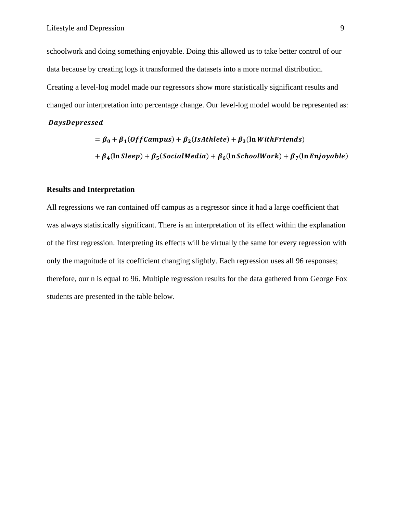schoolwork and doing something enjoyable. Doing this allowed us to take better control of our data because by creating logs it transformed the datasets into a more normal distribution. Creating a level-log model made our regressors show more statistically significant results and changed our interpretation into percentage change. Our level-log model would be represented as:

#### **DaysDepressed**

$$
= \beta_0 + \beta_1 (Off Campus) + \beta_2 (IsAthlete) + \beta_3 (\ln With Friends)
$$
  
+  $\beta_4 (\ln Sleep) + \beta_5 (SocialMedia) + \beta_6 (\ln SchoolWork) + \beta_7 (\ln Enjoyable)$ 

#### **Results and Interpretation**

All regressions we ran contained off campus as a regressor since it had a large coefficient that was always statistically significant. There is an interpretation of its effect within the explanation of the first regression. Interpreting its effects will be virtually the same for every regression with only the magnitude of its coefficient changing slightly. Each regression uses all 96 responses; therefore, our n is equal to 96. Multiple regression results for the data gathered from George Fox students are presented in the table below.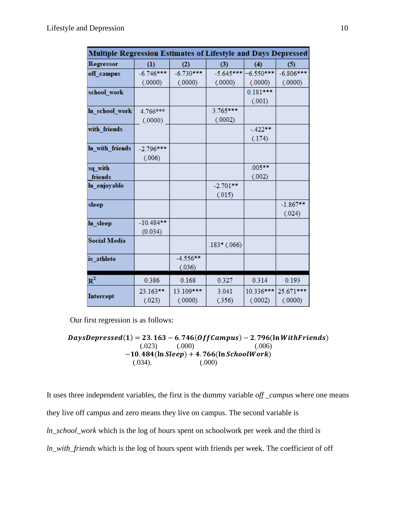| <b>Multiple Regression Estimates of Lifestyle and Days Depressed</b> |             |             |               |             |             |
|----------------------------------------------------------------------|-------------|-------------|---------------|-------------|-------------|
| <b>Regressor</b>                                                     | (1)         | (2)         | (3)           | (4)         | (5)         |
| off_campus                                                           | $-6.746***$ | $-6.730***$ | $-5.645***$   | $-6.550***$ | $-6.806***$ |
|                                                                      | (.0000)     | (.0000)     | (.0000)       | (.0000)     | (.0000)     |
| school_work                                                          |             |             |               | $0.181***$  |             |
|                                                                      |             |             |               | (.001)      |             |
| In school work                                                       | 4.766***    |             | 3.765***      |             |             |
|                                                                      | (.0000)     |             | (.0002)       |             |             |
| with friends                                                         |             |             |               | $-422**$    |             |
|                                                                      |             |             |               | (.174)      |             |
| In with friends                                                      | $-2.796***$ |             |               |             |             |
|                                                                      | (.006)      |             |               |             |             |
| sq with                                                              |             |             |               | $.005***$   |             |
| friends                                                              |             |             |               | (.002)      |             |
| ln_enjoyable                                                         |             |             | $-2.701**$    |             |             |
|                                                                      |             |             | (.015)        |             |             |
| sleep                                                                |             |             |               |             | $-1.867**$  |
|                                                                      |             |             |               |             | (.024)      |
| ln_sleep                                                             | $-10.484**$ |             |               |             |             |
|                                                                      | (0.034)     |             |               |             |             |
| <b>Social Media</b>                                                  |             |             | $.183*(.066)$ |             |             |
|                                                                      |             |             |               |             |             |
| is athlete                                                           |             | $-4.556**$  |               |             |             |
|                                                                      |             | (.036)      |               |             |             |
| $R^2$                                                                | 0.386       | 0.168       | 0.327         | 0.314       | 0.193       |
|                                                                      | 23.163**    | 13.109***   | 3.041         | 10.336***   | 25.671***   |
| <b>Intercept</b>                                                     | (.023)      | (.0000)     | (.356)        | (.0002)     | (.0000)     |

Our first regression is as follows:

 $DaysDepressed(1) = 23.163 - 6.746 (Off Campus) - 2.796 (In With Friends)$  $(.023)$   $(.000)$   $(.006)$  $-10.484(\ln \text{Sleep}) + 4.766(\ln \text{SchoolWork})$ (.034). (.000)

It uses three independent variables, the first is the dummy variable *off \_campus* where one means they live off campus and zero means they live on campus. The second variable is *ln\_school\_work* which is the log of hours spent on schoolwork per week and the third is *ln\_with\_friends* which is the log of hours spent with friends per week. The coefficient of off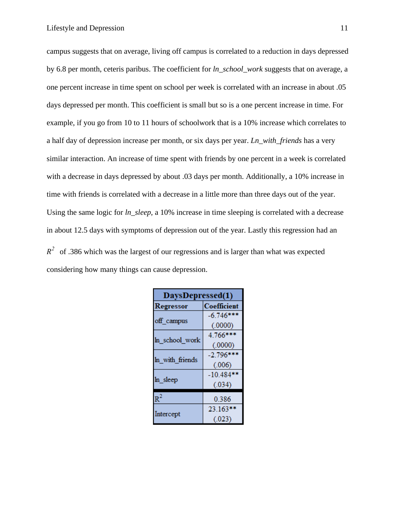campus suggests that on average, living off campus is correlated to a reduction in days depressed by 6.8 per month, ceteris paribus. The coefficient for *ln\_school\_work* suggests that on average, a one percent increase in time spent on school per week is correlated with an increase in about .05 days depressed per month. This coefficient is small but so is a one percent increase in time. For example, if you go from 10 to 11 hours of schoolwork that is a 10% increase which correlates to a half day of depression increase per month, or six days per year. *Ln\_with\_friends* has a very similar interaction. An increase of time spent with friends by one percent in a week is correlated with a decrease in days depressed by about .03 days per month. Additionally, a 10% increase in time with friends is correlated with a decrease in a little more than three days out of the year. Using the same logic for *ln\_sleep*, a 10% increase in time sleeping is correlated with a decrease in about 12.5 days with symptoms of depression out of the year. Lastly this regression had an  $R^2$  of .386 which was the largest of our regressions and is larger than what was expected considering how many things can cause depression.

| DaysDepressed(1) |             |  |
|------------------|-------------|--|
| Regressor        | Coefficient |  |
|                  | $-6.746***$ |  |
| off campus       | (.0000)     |  |
|                  | 4.766***    |  |
| ln school work   | (.0000)     |  |
|                  | $-2.796***$ |  |
| In with friends  | (.006)      |  |
|                  | $-10.484**$ |  |
| ln sleep         | (.034)      |  |
| $R^2$            | 0.386       |  |
|                  |             |  |
| Intercept        | 23.163**    |  |
|                  | (.023)      |  |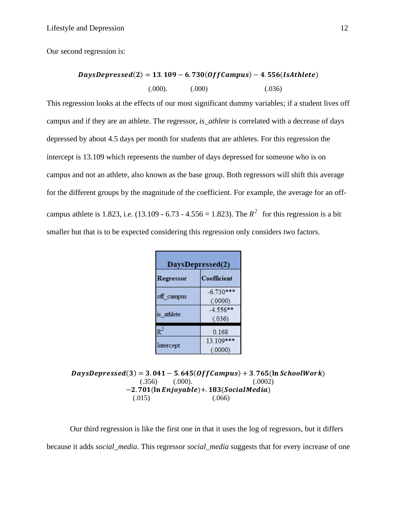Our second regression is:

## $DaysDepressed(2) = 13.109 - 6.730(Off Campus) - 4.556(IsAthlete)$  $(.000)$ .  $(.000)$   $(.036)$

This regression looks at the effects of our most significant dummy variables; if a student lives off campus and if they are an athlete. The regressor, *is\_athlete* is correlated with a decrease of days depressed by about 4.5 days per month for students that are athletes. For this regression the intercept is 13.109 which represents the number of days depressed for someone who is on campus and not an athlete, also known as the base group. Both regressors will shift this average for the different groups by the magnitude of the coefficient. For example, the average for an offcampus athlete is 1.823, i.e.  $(13.109 - 6.73 - 4.556 = 1.823)$ . The  $R^2$  for this regression is a bit smaller but that is to be expected considering this regression only considers two factors.

| DaysDepressed(2) |             |  |  |
|------------------|-------------|--|--|
| Regressor        | Coefficient |  |  |
|                  | $-6.730***$ |  |  |
| off_campus       | (.0000)     |  |  |
| is athlete       | $-4.556***$ |  |  |
|                  | (.036)      |  |  |
| $\mathsf{R}^2$   | 0.168       |  |  |
|                  | 13.109***   |  |  |
| Intercept        | (.0000)     |  |  |

 $DaysDepressed(3) = 3.041 - 5.645(Off Campus) + 3.765(ln SchoolWork)$  $(.356)$   $(.000)$ .  $(.0002)$  $-2.701$ (ln Enjoyable)+. 183(SocialMedia)  $(.015)$   $(.066)$ 

Our third regression is like the first one in that it uses the log of regressors, but it differs because it adds *social\_media*. This regressor *social\_media* suggests that for every increase of one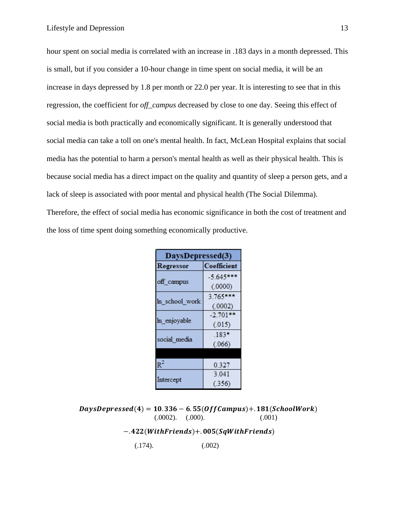hour spent on social media is correlated with an increase in .183 days in a month depressed. This is small, but if you consider a 10-hour change in time spent on social media, it will be an increase in days depressed by 1.8 per month or 22.0 per year. It is interesting to see that in this regression, the coefficient for *off\_campus* decreased by close to one day. Seeing this effect of social media is both practically and economically significant. It is generally understood that social media can take a toll on one's mental health. In fact, McLean Hospital explains that social media has the potential to harm a person's mental health as well as their physical health. This is because social media has a direct impact on the quality and quantity of sleep a person gets, and a lack of sleep is associated with poor mental and physical health (The Social Dilemma). Therefore, the effect of social media has economic significance in both the cost of treatment and the loss of time spent doing something economically productive.

| DaysDepressed(3) |             |  |
|------------------|-------------|--|
| Regressor        | Coefficient |  |
|                  | $-5.645***$ |  |
| off_campus       | (.0000)     |  |
| In school work   | $3.765***$  |  |
|                  | (.0002)     |  |
| ln enjoyable     | $-2.701**$  |  |
|                  | (.015)      |  |
| social media     | $.183*$     |  |
|                  | (.066)      |  |
|                  |             |  |
| $R^2$            | 0.327       |  |
|                  | 3.041       |  |
| Intercept        | (.356)      |  |

 $DaysDepressed(4) = 10.336 - 6.55(OffCampus) + .181(SchoolWork)$  $(.0002)$ .  $(.000)$ .  $(.001)$ 

 $-422(With Friends) + .005(SqWith Friends)$ 

 $(.174).$   $(.002)$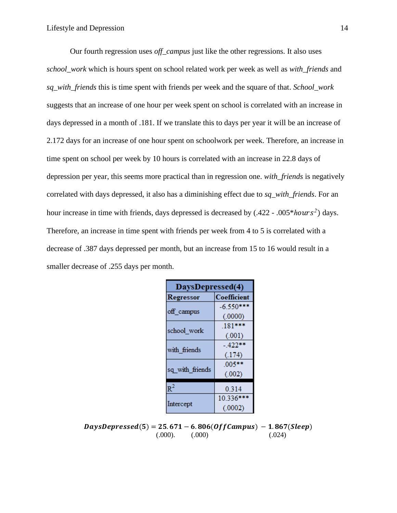Our fourth regression uses *off* campus just like the other regressions. It also uses *school\_work* which is hours spent on school related work per week as well as *with\_friends* and *sq\_with\_friends* this is time spent with friends per week and the square of that. *School\_work* suggests that an increase of one hour per week spent on school is correlated with an increase in days depressed in a month of .181. If we translate this to days per year it will be an increase of 2.172 days for an increase of one hour spent on schoolwork per week. Therefore, an increase in time spent on school per week by 10 hours is correlated with an increase in 22.8 days of depression per year, this seems more practical than in regression one. *with\_friends* is negatively correlated with days depressed, it also has a diminishing effect due to *sq\_with\_friends*. For an hour increase in time with friends, days depressed is decreased by  $(.422 - .005* hours^2)$  days. Therefore, an increase in time spent with friends per week from 4 to 5 is correlated with a decrease of .387 days depressed per month, but an increase from 15 to 16 would result in a smaller decrease of .255 days per month.

| DaysDepressed(4) |                    |  |
|------------------|--------------------|--|
| Regressor        | <b>Coefficient</b> |  |
|                  | $-6.550***$        |  |
| off campus       | (.0000)            |  |
| school work      | $.181***$          |  |
|                  | (.001)             |  |
| with friends     | - 422**            |  |
|                  | (.174)             |  |
|                  | $.005***$          |  |
| sq with friends  | (.002)             |  |
| $R^2$            | 0.314              |  |
|                  |                    |  |
|                  | 10.336***          |  |
| Intercept        | (.0002)            |  |

 $DaysDepressed(5) = 25.671 - 6.806 (Off Campus) - 1.867 (sleep)$  $(.000)$ .  $(.000)$   $(.024)$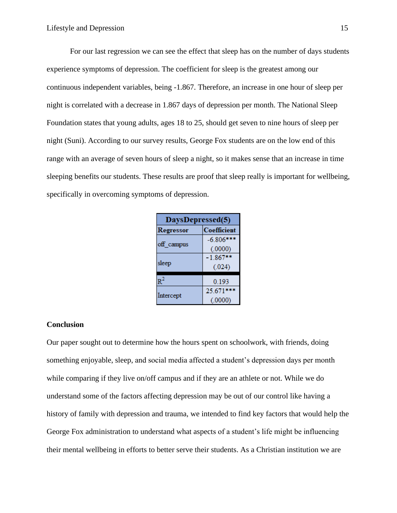For our last regression we can see the effect that sleep has on the number of days students experience symptoms of depression. The coefficient for sleep is the greatest among our continuous independent variables, being -1.867. Therefore, an increase in one hour of sleep per night is correlated with a decrease in 1.867 days of depression per month. The National Sleep Foundation states that young adults, ages 18 to 25, should get seven to nine hours of sleep per night (Suni). According to our survey results, George Fox students are on the low end of this range with an average of seven hours of sleep a night, so it makes sense that an increase in time sleeping benefits our students. These results are proof that sleep really is important for wellbeing, specifically in overcoming symptoms of depression.

| DaysDepressed(5) |             |  |
|------------------|-------------|--|
| Regressor        | Coefficient |  |
|                  | $-6.806***$ |  |
| off campus       | (.0000)     |  |
|                  | $-1.867**$  |  |
| sleep            | (.024)      |  |
| $R^2$            | 0.193       |  |
|                  | 25.671***   |  |
| Intercept        | (.0000)     |  |

#### **Conclusion**

Our paper sought out to determine how the hours spent on schoolwork, with friends, doing something enjoyable, sleep, and social media affected a student's depression days per month while comparing if they live on/off campus and if they are an athlete or not. While we do understand some of the factors affecting depression may be out of our control like having a history of family with depression and trauma, we intended to find key factors that would help the George Fox administration to understand what aspects of a student's life might be influencing their mental wellbeing in efforts to better serve their students. As a Christian institution we are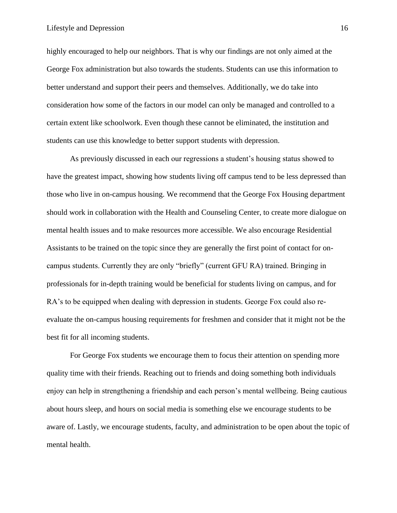highly encouraged to help our neighbors. That is why our findings are not only aimed at the George Fox administration but also towards the students. Students can use this information to better understand and support their peers and themselves. Additionally, we do take into consideration how some of the factors in our model can only be managed and controlled to a certain extent like schoolwork. Even though these cannot be eliminated, the institution and students can use this knowledge to better support students with depression.

As previously discussed in each our regressions a student's housing status showed to have the greatest impact, showing how students living off campus tend to be less depressed than those who live in on-campus housing. We recommend that the George Fox Housing department should work in collaboration with the Health and Counseling Center, to create more dialogue on mental health issues and to make resources more accessible. We also encourage Residential Assistants to be trained on the topic since they are generally the first point of contact for oncampus students. Currently they are only "briefly" (current GFU RA) trained. Bringing in professionals for in-depth training would be beneficial for students living on campus, and for RA's to be equipped when dealing with depression in students. George Fox could also reevaluate the on-campus housing requirements for freshmen and consider that it might not be the best fit for all incoming students.

For George Fox students we encourage them to focus their attention on spending more quality time with their friends. Reaching out to friends and doing something both individuals enjoy can help in strengthening a friendship and each person's mental wellbeing. Being cautious about hours sleep, and hours on social media is something else we encourage students to be aware of. Lastly, we encourage students, faculty, and administration to be open about the topic of mental health.